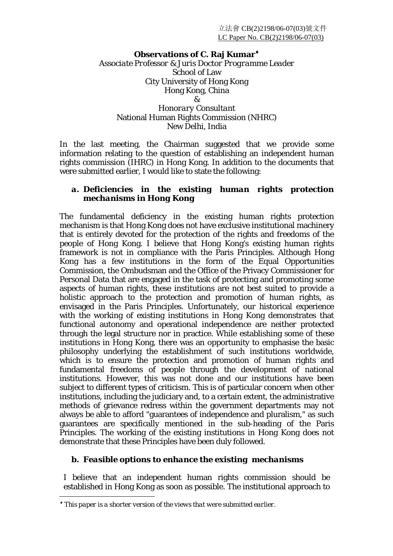#### **Observations of C. Raj Kumar**♦

*Associate Professor & Juris Doctor Programme Leader*  School of Law City University of Hong Kong Hong Kong, China & *Honorary Consultant*  National Human Rights Commission (NHRC)

New Delhi, India

In the last meeting, the Chairman suggested that we provide some information relating to the question of establishing an independent human rights commission (IHRC) in Hong Kong. In addition to the documents that were submitted earlier, I would like to state the following:

# *a. Deficiencies in the existing human rights protection mechanisms in Hong Kong*

The fundamental deficiency in the existing human rights protection mechanism is that Hong Kong does not have exclusive institutional machinery that is entirely devoted for the protection of the rights and freedoms of the people of Hong Kong. I believe that Hong Kong's existing human rights framework is not in compliance with the Paris Principles. Although Hong Kong has a few institutions in the form of the Equal Opportunities Commission, the Ombudsman and the Office of the Privacy Commissioner for Personal Data that are engaged in the task of protecting and promoting some aspects of human rights, these institutions are not best suited to provide a holistic approach to the protection and promotion of human rights, as envisaged in the Paris Principles. Unfortunately, our historical experience with the working of existing institutions in Hong Kong demonstrates that functional autonomy and operational independence are neither protected through the legal structure nor in practice. While establishing some of these institutions in Hong Kong, there was an opportunity to emphasise the basic philosophy underlying the establishment of such institutions worldwide, which is to ensure the protection and promotion of human rights and fundamental freedoms of people through the development of national institutions. However, this was not done and our institutions have been subject to different types of criticism. This is of particular concern when other institutions, including the judiciary and, to a certain extent, the administrative methods of grievance redress within the government departments may not always be able to afford "guarantees of independence and pluralism," as such guarantees are specifically mentioned in the sub-heading of the Paris Principles. The working of the existing institutions in Hong Kong does not demonstrate that these Principles have been duly followed.

## *b. Feasible options to enhance the existing mechanisms*

I believe that an independent human rights commission should be established in Hong Kong as soon as possible. The institutional approach to

 $\overline{a}$ 

<sup>♦</sup> *This paper is a shorter version of the views that were submitted earlier.*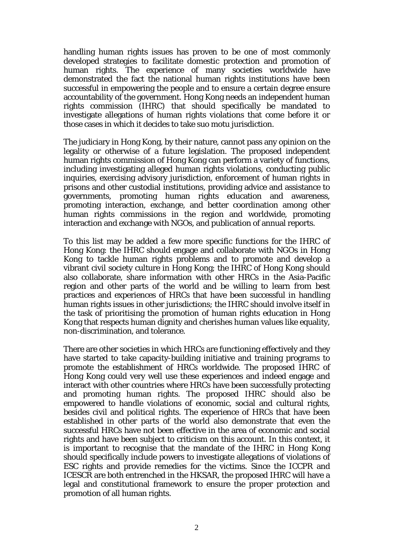handling human rights issues has proven to be one of most commonly developed strategies to facilitate domestic protection and promotion of human rights. The experience of many societies worldwide have demonstrated the fact the national human rights institutions have been successful in empowering the people and to ensure a certain degree ensure accountability of the government. Hong Kong needs an independent human rights commission (IHRC) that should specifically be mandated to investigate allegations of human rights violations that come before it or those cases in which it decides to take *suo motu* jurisdiction.

The judiciary in Hong Kong, by their nature, cannot pass any opinion on the legality or otherwise of a future legislation. The proposed independent human rights commission of Hong Kong can perform a variety of functions, including investigating alleged human rights violations, conducting public inquiries, exercising advisory jurisdiction, enforcement of human rights in prisons and other custodial institutions, providing advice and assistance to governments, promoting human rights education and awareness, promoting interaction, exchange, and better coordination among other human rights commissions in the region and worldwide, promoting interaction and exchange with NGOs, and publication of annual reports.

To this list may be added a few more specific functions for the IHRC of Hong Kong: the IHRC should engage and collaborate with NGOs in Hong Kong to tackle human rights problems and to promote and develop a vibrant civil society culture in Hong Kong; the IHRC of Hong Kong should also collaborate, share information with other HRCs in the Asia-Pacific region and other parts of the world and be willing to learn from best practices and experiences of HRCs that have been successful in handling human rights issues in other jurisdictions; the IHRC should involve itself in the task of prioritising the promotion of human rights education in Hong Kong that respects human dignity and cherishes human values like equality, non-discrimination, and tolerance.

There are other societies in which HRCs are functioning effectively and they have started to take capacity-building initiative and training programs to promote the establishment of HRCs worldwide. The proposed IHRC of Hong Kong could very well use these experiences and indeed engage and interact with other countries where HRCs have been successfully protecting and promoting human rights. The proposed IHRC should also be empowered to handle violations of economic, social and cultural rights, besides civil and political rights. The experience of HRCs that have been established in other parts of the world also demonstrate that even the successful HRCs have not been effective in the area of economic and social rights and have been subject to criticism on this account. In this context, it is important to recognise that the mandate of the IHRC in Hong Kong should specifically include powers to investigate allegations of violations of ESC rights and provide remedies for the victims. Since the ICCPR and ICESCR are both entrenched in the HKSAR, the proposed IHRC will have a legal and constitutional framework to ensure the proper protection and promotion of all human rights.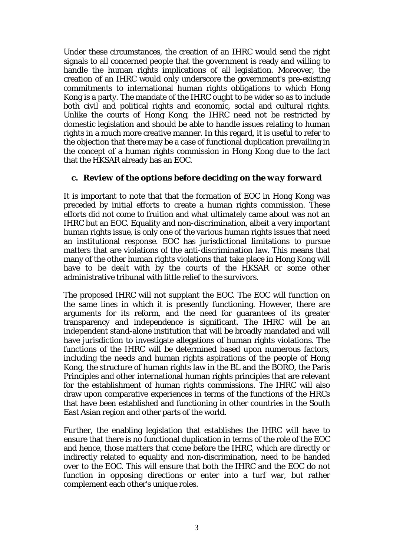Under these circumstances, the creation of an IHRC would send the right signals to all concerned people that the government is ready and willing to handle the human rights implications of all legislation. Moreover, the creation of an IHRC would only underscore the government's pre-existing commitments to international human rights obligations to which Hong Kong is a party. The mandate of the IHRC ought to be wider so as to include both civil and political rights and economic, social and cultural rights. Unlike the courts of Hong Kong, the IHRC need not be restricted by domestic legislation and should be able to handle issues relating to human rights in a much more creative manner. In this regard, it is useful to refer to the objection that there may be a case of functional duplication prevailing in the concept of a human rights commission in Hong Kong due to the fact that the HKSAR already has an EOC.

#### *c. Review of the options before deciding on the way forward*

It is important to note that that the formation of EOC in Hong Kong was preceded by initial efforts to create a human rights commission. These efforts did not come to fruition and what ultimately came about was not an IHRC but an EOC. Equality and non-discrimination, albeit a very important human rights issue, is only one of the various human rights issues that need an institutional response. EOC has jurisdictional limitations to pursue matters that are violations of the anti-discrimination law. This means that many of the other human rights violations that take place in Hong Kong will have to be dealt with by the courts of the HKSAR or some other administrative tribunal with little relief to the survivors.

The proposed IHRC will not supplant the EOC. The EOC will function on the same lines in which it is presently functioning. However, there are arguments for its reform, and the need for guarantees of its greater transparency and independence is significant. The IHRC will be an independent stand-alone institution that will be broadly mandated and will have jurisdiction to investigate allegations of human rights violations. The functions of the IHRC will be determined based upon numerous factors, including the needs and human rights aspirations of the people of Hong Kong, the structure of human rights law in the BL and the BORO, the Paris Principles and other international human rights principles that are relevant for the establishment of human rights commissions. The IHRC will also draw upon comparative experiences in terms of the functions of the HRCs that have been established and functioning in other countries in the South East Asian region and other parts of the world.

Further, the enabling legislation that establishes the IHRC will have to ensure that there is no functional duplication in terms of the role of the EOC and hence, those matters that come before the IHRC, which are directly or indirectly related to equality and non-discrimination, need to be handed over to the EOC. This will ensure that both the IHRC and the EOC do not function in opposing directions or enter into a turf war, but rather complement each other's unique roles.